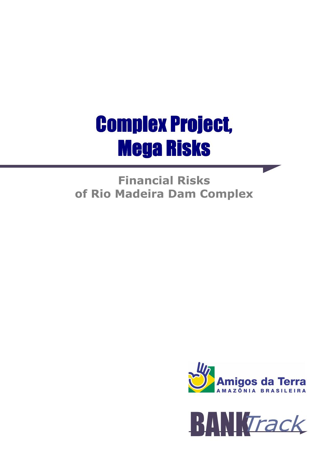# **Complex Project, Mega Risks**

Financial Risks of Rio Madeira Dam Complex



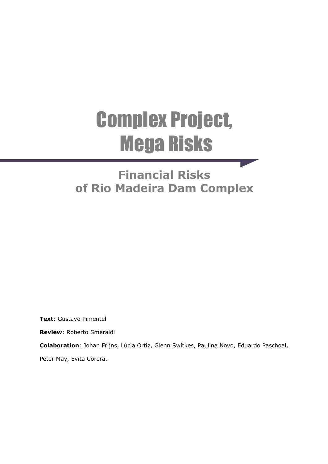# Complex Project, Mega Risks

# Financial Risks of Rio Madeira Dam Complex

Text: Gustavo Pimentel

Review: Roberto Smeraldi

Colaboration: Johan Frijns, Lúcia Ortiz, Glenn Switkes, Paulina Novo, Eduardo Paschoal,

Peter May, Evita Corera.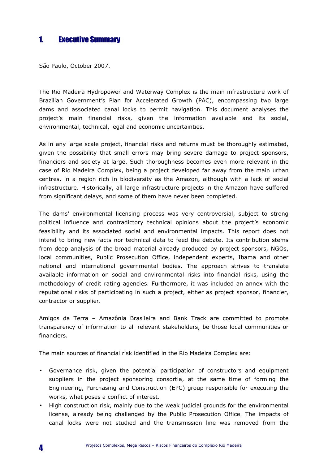# 1. Executive Summary

São Paulo, October 2007.

The Rio Madeira Hydropower and Waterway Complex is the main infrastructure work of Brazilian Government's Plan for Accelerated Growth (PAC), encompassing two large dams and associated canal locks to permit navigation. This document analyses the project's main financial risks, given the information available and its social, environmental, technical, legal and economic uncertainties.

As in any large scale project, financial risks and returns must be thoroughly estimated, given the possibility that small errors may bring severe damage to project sponsors, financiers and society at large. Such thoroughness becomes even more relevant in the case of Rio Madeira Complex, being a project developed far away from the main urban centres, in a region rich in biodiversity as the Amazon, although with a lack of social infrastructure. Historically, all large infrastructure projects in the Amazon have suffered from significant delays, and some of them have never been completed.

The dams' environmental licensing process was very controversial, subject to strong political influence and contradictory technical opinions about the project's economic feasibility and its associated social and environmental impacts. This report does not intend to bring new facts nor technical data to feed the debate. Its contribution stems from deep analysis of the broad material already produced by project sponsors, NGOs, local communities, Public Prosecution Office, independent experts, Ibama and other national and international governmental bodies. The approach strives to translate available information on social and environmental risks into financial risks, using the methodology of credit rating agencies. Furthermore, it was included an annex with the reputational risks of participating in such a project, either as project sponsor, financier, contractor or supplier.

Amigos da Terra – Amazônia Brasileira and Bank Track are committed to promote transparency of information to all relevant stakeholders, be those local communities or financiers.

The main sources of financial risk identified in the Rio Madeira Complex are:

- Governance risk, given the potential participation of constructors and equipment suppliers in the project sponsoring consortia, at the same time of forming the Engineering, Purchasing and Construction (EPC) group responsible for executing the works, what poses a conflict of interest.
- High construction risk, mainly due to the weak judicial grounds for the environmental license, already being challenged by the Public Prosecution Office. The impacts of canal locks were not studied and the transmission line was removed from the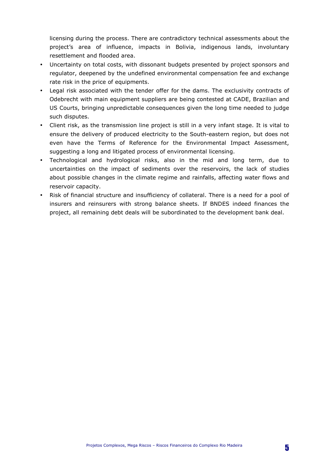licensing during the process. There are contradictory technical assessments about the project's area of influence, impacts in Bolivia, indigenous lands, involuntary resettlement and flooded area.

- Uncertainty on total costs, with dissonant budgets presented by project sponsors and regulator, deepened by the undefined environmental compensation fee and exchange rate risk in the price of equipments.
- Legal risk associated with the tender offer for the dams. The exclusivity contracts of Odebrecht with main equipment suppliers are being contested at CADE, Brazilian and US Courts, bringing unpredictable consequences given the long time needed to judge such disputes.
- Client risk, as the transmission line project is still in a very infant stage. It is vital to ensure the delivery of produced electricity to the South-eastern region, but does not even have the Terms of Reference for the Environmental Impact Assessment, suggesting a long and litigated process of environmental licensing.
- Technological and hydrological risks, also in the mid and long term, due to uncertainties on the impact of sediments over the reservoirs, the lack of studies about possible changes in the climate regime and rainfalls, affecting water flows and reservoir capacity.
- Risk of financial structure and insufficiency of collateral. There is a need for a pool of insurers and reinsurers with strong balance sheets. If BNDES indeed finances the project, all remaining debt deals will be subordinated to the development bank deal.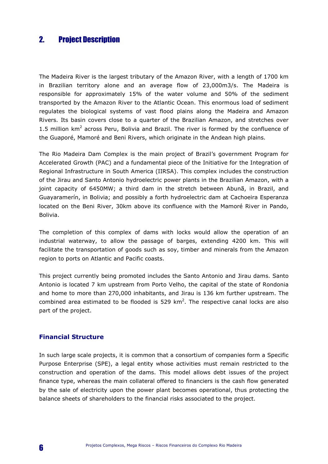# 2. Project Description

The Madeira River is the largest tributary of the Amazon River, with a length of 1700 km in Brazilian territory alone and an average flow of 23,000m3/s. The Madeira is responsible for approximately 15% of the water volume and 50% of the sediment transported by the Amazon River to the Atlantic Ocean. This enormous load of sediment regulates the biological systems of vast flood plains along the Madeira and Amazon Rivers. Its basin covers close to a quarter of the Brazilian Amazon, and stretches over 1.5 million  $km^2$  across Peru, Bolivia and Brazil. The river is formed by the confluence of the Guaporé, Mamoré and Beni Rivers, which originate in the Andean high plains.

The Rio Madeira Dam Complex is the main project of Brazil's government Program for Accelerated Growth (PAC) and a fundamental piece of the Initiative for the Integration of Regional Infrastructure in South America (IIRSA). This complex includes the construction of the Jirau and Santo Antonio hydroelectric power plants in the Brazilian Amazon, with a joint capacity of 6450MW; a third dam in the stretch between Abunã, in Brazil, and Guayaramerín, in Bolivia; and possibly a forth hydroelectric dam at Cachoeira Esperanza located on the Beni River, 30km above its confluence with the Mamoré River in Pando, Bolivia.

The completion of this complex of dams with locks would allow the operation of an industrial waterway, to allow the passage of barges, extending 4200 km. This will facilitate the transportation of goods such as soy, timber and minerals from the Amazon region to ports on Atlantic and Pacific coasts.

This project currently being promoted includes the Santo Antonio and Jirau dams. Santo Antonio is located 7 km upstream from Porto Velho, the capital of the state of Rondonia and home to more than 270,000 inhabitants, and Jirau is 136 km further upstream. The combined area estimated to be flooded is  $529 \text{ km}^2$ . The respective canal locks are also part of the project.

#### Financial Structure

In such large scale projects, it is common that a consortium of companies form a Specific Purpose Enterprise (SPE), a legal entity whose activities must remain restricted to the construction and operation of the dams. This model allows debt issues of the project finance type, whereas the main collateral offered to financiers is the cash flow generated by the sale of electricity upon the power plant becomes operational, thus protecting the balance sheets of shareholders to the financial risks associated to the project.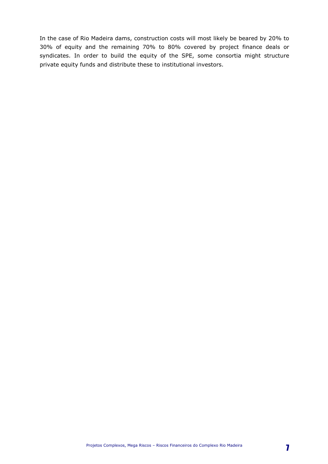In the case of Rio Madeira dams, construction costs will most likely be beared by 20% to 30% of equity and the remaining 70% to 80% covered by project finance deals or syndicates. In order to build the equity of the SPE, some consortia might structure private equity funds and distribute these to institutional investors.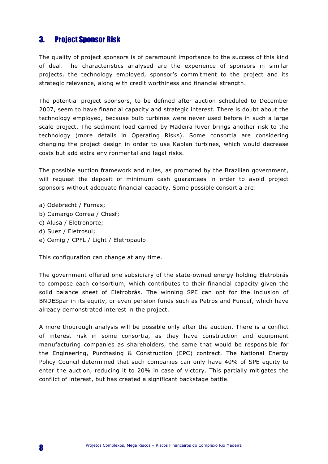# 3. Project Sponsor Risk

The quality of project sponsors is of paramount importance to the success of this kind of deal. The characteristics analysed are the experience of sponsors in similar projects, the technology employed, sponsor's commitment to the project and its strategic relevance, along with credit worthiness and financial strength.

The potential project sponsors, to be defined after auction scheduled to December 2007, seem to have financial capacity and strategic interest. There is doubt about the technology employed, because bulb turbines were never used before in such a large scale project. The sediment load carried by Madeira River brings another risk to the technology (more details in Operating Risks). Some consortia are considering changing the project design in order to use Kaplan turbines, which would decrease costs but add extra environmental and legal risks.

The possible auction framework and rules, as promoted by the Brazilian government, will request the deposit of minimum cash guarantees in order to avoid project sponsors without adequate financial capacity. Some possible consortia are:

- a) Odebrecht / Furnas;
- b) Camargo Correa / Chesf;
- c) Alusa / Eletronorte;
- d) Suez / Eletrosul;
- e) Cemig / CPFL / Light / Eletropaulo

This configuration can change at any time.

The government offered one subsidiary of the state-owned energy holding Eletrobrás to compose each consortium, which contributes to their financial capacity given the solid balance sheet of Eletrobrás. The winning SPE can opt for the inclusion of BNDESpar in its equity, or even pension funds such as Petros and Funcef, which have already demonstrated interest in the project.

A more thourough analysis will be possible only after the auction. There is a conflict of interest risk in some consortia, as they have construction and equipment manufacturing companies as shareholders, the same that would be responsible for the Engineering, Purchasing & Construction (EPC) contract. The National Energy Policy Council determined that such companies can only have 40% of SPE equity to enter the auction, reducing it to 20% in case of victory. This partially mitigates the conflict of interest, but has created a significant backstage battle.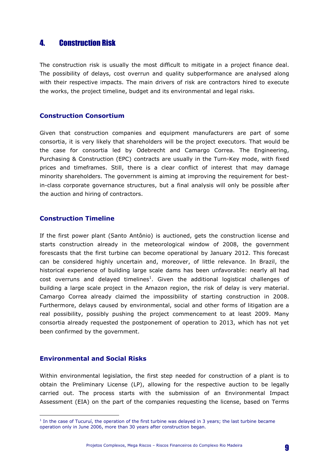# 4. Construction Risk

The construction risk is usually the most difficult to mitigate in a project finance deal. The possibility of delays, cost overrun and quality subperformance are analysed along with their respective impacts. The main drivers of risk are contractors hired to execute the works, the project timeline, budget and its environmental and legal risks.

#### Construction Consortium

Given that construction companies and equipment manufacturers are part of some consortia, it is very likely that shareholders will be the project executors. That would be the case for consortia led by Odebrecht and Camargo Correa. The Engineering, Purchasing & Construction (EPC) contracts are usually in the Turn-Key mode, with fixed prices and timeframes. Still, there is a clear conflict of interest that may damage minority shareholders. The government is aiming at improving the requirement for bestin-class corporate governance structures, but a final analysis will only be possible after the auction and hiring of contractors.

#### Construction Timeline

If the first power plant (Santo Antônio) is auctioned, gets the construction license and starts construction already in the meteorological window of 2008, the government forescasts that the first turbine can become operational by January 2012. This forecast can be considered highly uncertain and, moreover, of little relevance. In Brazil, the historical experience of building large scale dams has been unfavorable: nearly all had cost overruns and delayed timelines<sup>1</sup>. Given the additional logistical challenges of building a large scale project in the Amazon region, the risk of delay is very material. Camargo Correa already claimed the impossibility of starting construction in 2008. Furthermore, delays caused by environmental, social and other forms of litigation are a real possibility, possibly pushing the project commencement to at least 2009. Many consortia already requested the postponement of operation to 2013, which has not yet been confirmed by the government.

#### Environmental and Social Risks

 $\overline{a}$ 

Within environmental legislation, the first step needed for construction of a plant is to obtain the Preliminary License (LP), allowing for the respective auction to be legally carried out. The process starts with the submission of an Environmental Impact Assessment (EIA) on the part of the companies requesting the license, based on Terms

<sup>&</sup>lt;sup>1</sup> In the case of Tucuruí, the operation of the first turbine was delayed in 3 years; the last turbine became operation only in June 2006, more than 30 years after construction began.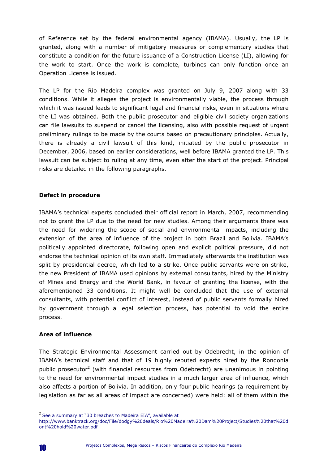of Reference set by the federal environmental agency (IBAMA). Usually, the LP is granted, along with a number of mitigatory measures or complementary studies that constitute a condition for the future issuance of a Construction License (LI), allowing for the work to start. Once the work is complete, turbines can only function once an Operation License is issued.

The LP for the Rio Madeira complex was granted on July 9, 2007 along with 33 conditions. While it alleges the project is environmentally viable, the process through which it was issued leads to significant legal and financial risks, even in situations where the LI was obtained. Both the public prosecutor and eligible civil society organizations can file lawsuits to suspend or cancel the licensing, also with possible request of urgent preliminary rulings to be made by the courts based on precautionary principles. Actually, there is already a civil lawsuit of this kind, initiated by the public prosecutor in December, 2006, based on earlier considerations, well before IBAMA granted the LP. This lawsuit can be subject to ruling at any time, even after the start of the project. Principal risks are detailed in the following paragraphs.

#### Defect in procedure

IBAMA's technical experts concluded their official report in March, 2007, recommending not to grant the LP due to the need for new studies. Among their arguments there was the need for widening the scope of social and environmental impacts, including the extension of the area of influence of the project in both Brazil and Bolivia. IBAMA's politically appointed directorate, following open and explicit political pressure, did not endorse the technical opinion of its own staff. Immediately afterwards the institution was split by presidential decree, which led to a strike. Once public servants were on strike, the new President of IBAMA used opinions by external consultants, hired by the Ministry of Mines and Energy and the World Bank, in favour of granting the license, with the aforementioned 33 conditions. It might well be concluded that the use of external consultants, with potential conflict of interest, instead of public servants formally hired by government through a legal selection process, has potential to void the entire process.

#### Area of influence

The Strategic Environmental Assessment carried out by Odebrecht, in the opinion of IBAMA's technical staff and that of 19 highly reputed experts hired by the Rondonia public prosecutor<sup>2</sup> (with financial resources from Odebrecht) are unanimous in pointing to the need for environmental impact studies in a much larger area of influence, which also affects a portion of Bolivia. In addition, only four public hearings (a requirement by legislation as far as all areas of impact are concerned) were held: all of them within the

 $\overline{a}$ 

 $^{2}$  See a summary at "30 breaches to Madeira EIA", available at

http://www.banktrack.org/doc/File/dodgy%20deals/Rio%20Madeira%20Dam%20Project/Studies%20that%20d ont%20hold%20water.pdf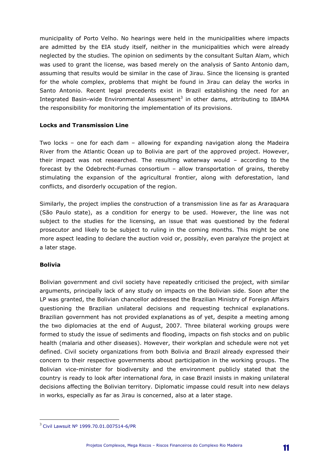municipality of Porto Velho. No hearings were held in the municipalities where impacts are admitted by the EIA study itself, neither in the municipalities which were already neglected by the studies. The opinion on sediments by the consultant Sultan Alam, which was used to grant the license, was based merely on the analysis of Santo Antonio dam, assuming that results would be similar in the case of Jirau. Since the licensing is granted for the whole complex, problems that might be found in Jirau can delay the works in Santo Antonio. Recent legal precedents exist in Brazil establishing the need for an Integrated Basin-wide Environmental Assessment<sup>3</sup> in other dams, attributing to IBAMA the responsibility for monitoring the implementation of its provisions.

#### Locks and Transmission Line

Two locks – one for each dam – allowing for expanding navigation along the Madeira River from the Atlantic Ocean up to Bolivia are part of the approved project. However, their impact was not researched. The resulting waterway would – according to the forecast by the Odebrecht-Furnas consortium – allow transportation of grains, thereby stimulating the expansion of the agricultural frontier, along with deforestation, land conflicts, and disorderly occupation of the region.

Similarly, the project implies the construction of a transmission line as far as Araraquara (São Paulo state), as a condition for energy to be used. However, the line was not subject to the studies for the licensing, an issue that was questioned by the federal prosecutor and likely to be subject to ruling in the coming months. This might be one more aspect leading to declare the auction void or, possibly, even paralyze the project at a later stage.

#### Bolivia

 $\overline{a}$ 

Bolivian government and civil society have repeatedly criticised the project, with similar arguments, principally lack of any study on impacts on the Bolivian side. Soon after the LP was granted, the Bolivian chancellor addressed the Brazilian Ministry of Foreign Affairs questioning the Brazilian unilateral decisions and requesting technical explanations. Brazilian government has not provided explanations as of yet, despite a meeting among the two diplomacies at the end of August, 2007. Three bilateral working groups were formed to study the issue of sediments and flooding, impacts on fish stocks and on public health (malaria and other diseases). However, their workplan and schedule were not yet defined. Civil society organizations from both Bolivia and Brazil already expressed their concern to their respective governments about participation in the working groups. The Bolivian vice-minister for biodiversity and the environment publicly stated that the country is ready to look after international fora, in case Brazil insists in making unilateral decisions affecting the Bolivian territory. Diplomatic impasse could result into new delays in works, especially as far as Jirau is concerned, also at a later stage.

 $^3$  Civil Lawsuit Nº 1999.70.01.007514-6/PR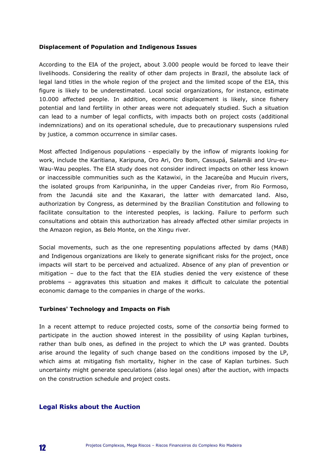#### Displacement of Population and Indigenous Issues

According to the EIA of the project, about 3.000 people would be forced to leave their livelihoods. Considering the reality of other dam projects in Brazil, the absolute lack of legal land titles in the whole region of the project and the limited scope of the EIA, this figure is likely to be underestimated. Local social organizations, for instance, estimate 10.000 affected people. In addition, economic displacement is likely, since fishery potential and land fertility in other areas were not adequately studied. Such a situation can lead to a number of legal conflicts, with impacts both on project costs (additional indemnizations) and on its operational schedule, due to precautionary suspensions ruled by justice, a common occurrence in similar cases.

Most affected Indigenous populations - especially by the inflow of migrants looking for work, include the Karitiana, Karipuna, Oro Ari, Oro Bom, Cassupá, Salamãi and Uru-eu-Wau-Wau peoples. The EIA study does not consider indirect impacts on other less known or inaccessible communities such as the Katawixi, in the Jacareúba and Mucuin rivers, the isolated groups from Karipuninha, in the upper Candeias river, from Rio Formoso, from the Jacundá site and the Kaxarari, the latter with demarcated land. Also, authorization by Congress, as determined by the Brazilian Constitution and following to facilitate consultation to the interested peoples, is lacking. Failure to perform such consultations and obtain this authorization has already affected other similar projects in the Amazon region, as Belo Monte, on the Xingu river.

Social movements, such as the one representing populations affected by dams (MAB) and Indigenous organizations are likely to generate significant risks for the project, once impacts will start to be perceived and actualized. Absence of any plan of prevention or mitigation – due to the fact that the EIA studies denied the very existence of these problems – aggravates this situation and makes it difficult to calculate the potential economic damage to the companies in charge of the works.

#### Turbines' Technology and Impacts on Fish

In a recent attempt to reduce projected costs, some of the consortia being formed to participate in the auction showed interest in the possibility of using Kaplan turbines, rather than bulb ones, as defined in the project to which the LP was granted. Doubts arise around the legality of such change based on the conditions imposed by the LP, which aims at mitigating fish mortality, higher in the case of Kaplan turbines. Such uncertainty might generate speculations (also legal ones) after the auction, with impacts on the construction schedule and project costs.

#### Legal Risks about the Auction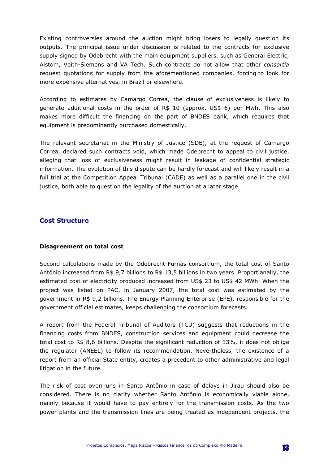Existing controversies around the auction might bring losers to legally question its outputs. The principal issue under discussion is related to the contracts for exclusive supply signed by Odebrecht with the main equipment suppliers, such as General Electric, Alstom, Voith-Siemens and VA Tech. Such contracts do not allow that other consortia request quotations for supply from the aforementioned companies, forcing to look for more expensive alternatives, in Brazil or elsewhere.

According to estimates by Camargo Correa, the clause of exclusiveness is likely to generate additional costs in the order of R\$ 10 (approx. US\$ 6) per Mwh. This also makes more difficult the financing on the part of BNDES bank, which requires that equipment is predominantly purchased domestically.

The relevant secretariat in the Ministry of Justice (SDE), at the request of Camargo Correa, declared such contracts void, which made Odebrecht to appeal to civil justice, alleging that loss of exclusiveness might result in leakage of confidential strategic information. The evolution of this dispute can be hardly forecast and will likely result in a full trial at the Competition Appeal Tribunal (CADE) as well as a parallel one in the civil justice, both able to question the legality of the auction at a later stage.

#### Cost Structure

#### Disagreement on total cost

Second calculations made by the Odebrecht-Furnas consortium, the total cost of Santo Antônio increased from R\$ 9,7 billions to R\$ 13,5 billions in two years. Proportianally, the estimated cost of electricity produced increased from US\$ 23 to US\$ 42 MWh. When the project was listed on PAC, in January 2007, the total cost was estimated by the government in R\$ 9,2 billions. The Energy Planning Enterprise (EPE), responsible for the government official estimates, keeps challenging the consortium forecasts.

A report from the Federal Tribunal of Auditors (TCU) suggests that reductions in the financing costs from BNDES, construction services and equipment could decrease the total cost to R\$ 8,6 billions. Despite the significant reduction of 13%, it does not oblige the regulator (ANEEL) to follow its recommendation. Nevertheless, the existence of a report from an official State entity, creates a precedent to other administrative and legal litigation in the future.

The risk of cost overrruns in Santo Antônio in case of delays in Jirau should also be considered. There is no clarity whether Santo Antônio is economically viable alone, mainly because it would have to pay entirely for the transmission costs. As the two power plants and the transmission lines are being treated as independent projects, the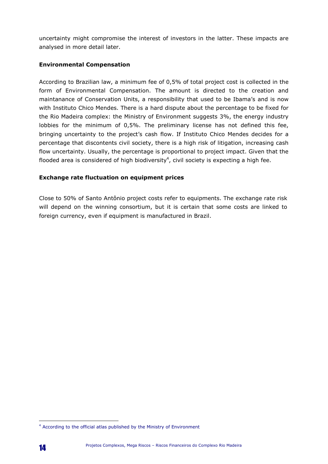uncertainty might compromise the interest of investors in the latter. These impacts are analysed in more detail later.

#### Environmental Compensation

According to Brazilian law, a minimum fee of 0,5% of total project cost is collected in the form of Environmental Compensation. The amount is directed to the creation and maintanance of Conservation Units, a responsibility that used to be Ibama's and is now with Instituto Chico Mendes. There is a hard dispute about the percentage to be fixed for the Rio Madeira complex: the Ministry of Environment suggests 3%, the energy industry lobbies for the minimum of 0,5%. The preliminary license has not defined this fee, bringing uncertainty to the project's cash flow. If Instituto Chico Mendes decides for a percentage that discontents civil society, there is a high risk of litigation, increasing cash flow uncertainty. Usually, the percentage is proportional to project impact. Given that the flooded area is considered of high biodiversity $^4$ , civil society is expecting a high fee.

#### Exchange rate fluctuation on equipment prices

Close to 50% of Santo Antônio project costs refer to equipments. The exchange rate risk will depend on the winning consortium, but it is certain that some costs are linked to foreign currency, even if equipment is manufactured in Brazil.

 $\overline{a}$ <sup>4</sup> According to the official atlas published by the Ministry of Environment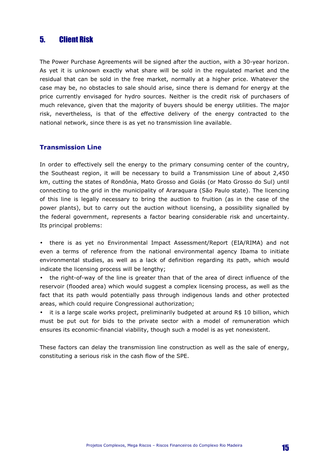# 5. Client Risk

The Power Purchase Agreements will be signed after the auction, with a 30-year horizon. As yet it is unknown exactly what share will be sold in the regulated market and the residual that can be sold in the free market, normally at a higher price. Whatever the case may be, no obstacles to sale should arise, since there is demand for energy at the price currently envisaged for hydro sources. Neither is the credit risk of purchasers of much relevance, given that the majority of buyers should be energy utilities. The major risk, nevertheless, is that of the effective delivery of the energy contracted to the national network, since there is as yet no transmission line available.

#### Transmission Line

In order to effectively sell the energy to the primary consuming center of the country, the Southeast region, it will be necessary to build a Transmission Line of about 2,450 km, cutting the states of Rondônia, Mato Grosso and Goiás (or Mato Grosso do Sul) until connecting to the grid in the municipality of Araraquara (São Paulo state). The licencing of this line is legally necessary to bring the auction to fruition (as in the case of the power plants), but to carry out the auction without licensing, a possibility signalled by the federal government, represents a factor bearing considerable risk and uncertainty. Its principal problems:

- there is as yet no Environmental Impact Assessment/Report (EIA/RIMA) and not even a terms of reference from the national environmental agency Ibama to initiate environmental studies, as well as a lack of definition regarding its path, which would indicate the licensing process will be lengthy;
- the right-of-way of the line is greater than that of the area of direct influence of the reservoir (flooded area) which would suggest a complex licensing process, as well as the fact that its path would potentially pass through indigenous lands and other protected areas, which could require Congressional authorization;

• it is a large scale works project, preliminarily budgeted at around R\$ 10 billion, which must be put out for bids to the private sector with a model of remuneration which ensures its economic-financial viability, though such a model is as yet nonexistent.

These factors can delay the transmission line construction as well as the sale of energy, constituting a serious risk in the cash flow of the SPE.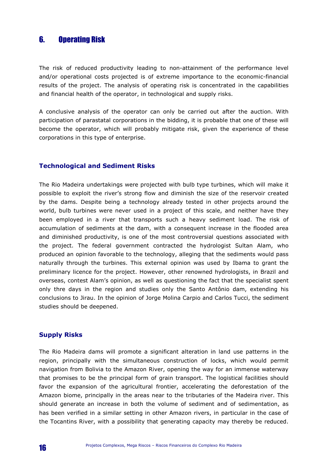# 6. Operating Risk

The risk of reduced productivity leading to non-attainment of the performance level and/or operational costs projected is of extreme importance to the economic-financial results of the project. The analysis of operating risk is concentrated in the capabilities and financial health of the operator, in technological and supply risks.

A conclusive analysis of the operator can only be carried out after the auction. With participation of parastatal corporations in the bidding, it is probable that one of these will become the operator, which will probably mitigate risk, given the experience of these corporations in this type of enterprise.

#### Technological and Sediment Risks

The Rio Madeira undertakings were projected with bulb type turbines, which will make it possible to exploit the river's strong flow and diminish the size of the reservoir created by the dams. Despite being a technology already tested in other projects around the world, bulb turbines were never used in a project of this scale, and neither have they been employed in a river that transports such a heavy sediment load. The risk of accumulation of sediments at the dam, with a consequent increase in the flooded area and diminished productivity, is one of the most controversial questions associated with the project. The federal government contracted the hydrologist Sultan Alam, who produced an opinion favorable to the technology, alleging that the sediments would pass naturally through the turbines. This external opinion was used by Ibama to grant the preliminary licence for the project. However, other renowned hydrologists, in Brazil and overseas, contest Alam's opinion, as well as questioning the fact that the specialist spent only thre days in the region and studies only the Santo Antônio dam, extending his conclusions to Jirau. In the opinion of Jorge Molina Carpio and Carlos Tucci, the sediment studies should be deepened.

#### Supply Risks

The Rio Madeira dams will promote a significant alteration in land use patterns in the region, principally with the simultaneous construction of locks, which would permit navigation from Bolivia to the Amazon River, opening the way for an immense waterway that promises to be the principal form of grain transport. The logistical facilities should favor the expansion of the agricultural frontier, accelerating the deforestation of the Amazon biome, principally in the areas near to the tributaries of the Madeira river. This should generate an increase in both the volume of sediment and of sedimentation, as has been verified in a similar setting in other Amazon rivers, in particular in the case of the Tocantins River, with a possibility that generating capacity may thereby be reduced.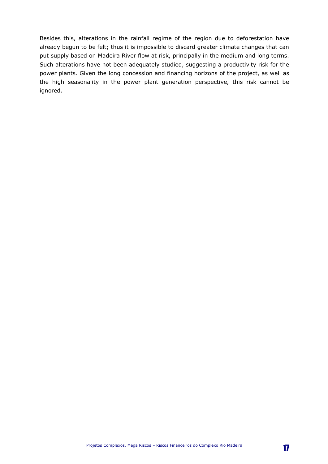Besides this, alterations in the rainfall regime of the region due to deforestation have already begun to be felt; thus it is impossible to discard greater climate changes that can put supply based on Madeira River flow at risk, principally in the medium and long terms. Such alterations have not been adequately studied, suggesting a productivity risk for the power plants. Given the long concession and financing horizons of the project, as well as the high seasonality in the power plant generation perspective, this risk cannot be ignored.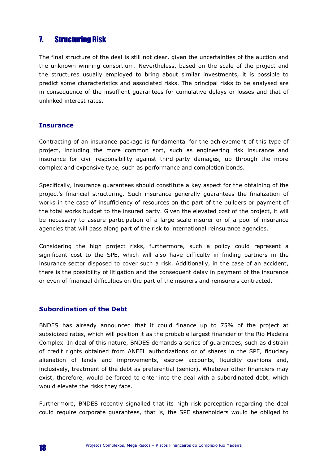# 7. Structuring Risk

The final structure of the deal is still not clear, given the uncertainties of the auction and the unknown winning consortium. Nevertheless, based on the scale of the project and the structures usually employed to bring about similar investments, it is possible to predict some characteristics and associated risks. The principal risks to be analysed are in consequence of the insuffient guarantees for cumulative delays or losses and that of unlinked interest rates.

#### **Insurance**

Contracting of an insurance package is fundamental for the achievement of this type of project, including the more common sort, such as engineering risk insurance and insurance for civil responsibility against third-party damages, up through the more complex and expensive type, such as performance and completion bonds.

Specifically, insurance guarantees should constitute a key aspect for the obtaining of the project's financial structuring. Such insurance generally guarantees the finalization of works in the case of insufficiency of resources on the part of the builders or payment of the total works budget to the insured party. Given the elevated cost of the project, it will be necessary to assure participation of a large scale insurer or of a pool of insurance agencies that will pass along part of the risk to international reinsurance agencies.

Considering the high project risks, furthermore, such a policy could represent a significant cost to the SPE, which will also have difficulty in finding partners in the insurance sector disposed to cover such a risk. Additionally, in the case of an accident, there is the possibility of litigation and the consequent delay in payment of the insurance or even of financial difficulties on the part of the insurers and reinsurers contracted.

#### Subordination of the Debt

BNDES has already announced that it could finance up to 75% of the project at subsidized rates, which will position it as the probable largest financier of the Rio Madeira Complex. In deal of this nature, BNDES demands a series of guarantees, such as distrain of credit rights obtained from ANEEL authorizations or of shares in the SPE, fiduciary alienation of lands and improvements, escrow accounts, liquidity cushions and, inclusively, treatment of the debt as preferential (senior). Whatever other financiers may exist, therefore, would be forced to enter into the deal with a subordinated debt, which would elevate the risks they face.

Furthermore, BNDES recently signalled that its high risk perception regarding the deal could require corporate guarantees, that is, the SPE shareholders would be obliged to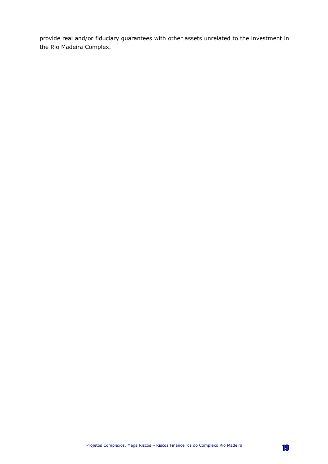provide real and/or fiduciary guarantees with other assets unrelated to the investment in the Rio Madeira Complex.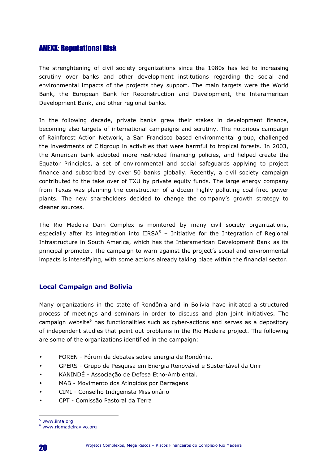# ANEXX: Reputational Risk

The strenghtening of civil society organizations since the 1980s has led to increasing scrutiny over banks and other development institutions regarding the social and environmental impacts of the projects they support. The main targets were the World Bank, the European Bank for Reconstruction and Development, the Interamerican Development Bank, and other regional banks.

In the following decade, private banks grew their stakes in development finance, becoming also targets of international campaigns and scrutiny. The notorious campaign of Rainforest Action Network, a San Francisco based environmental group, challenged the investments of Citigroup in activities that were harmful to tropical forests. In 2003, the American bank adopted more restricted financing policies, and helped create the Equator Principles, a set of environmental and social safeguards applying to project finance and subscribed by over 50 banks globally. Recently, a civil society campaign contributed to the take over of TXU by private equity funds. The large energy company from Texas was planning the construction of a dozen highly polluting coal-fired power plants. The new shareholders decided to change the company's growth strategy to cleaner sources.

The Rio Madeira Dam Complex is monitored by many civil society organizations, especially after its integration into IIRSA $5$  – Initiative for the Integration of Regional Infrastructure in South America, which has the Interamerican Development Bank as its principal promoter. The campaign to warn against the project's social and environmental impacts is intensifying, with some actions already taking place within the financial sector.

#### Local Campaign and Bolívia

Many organizations in the state of Rondônia and in Bolívia have initiated a structured process of meetings and seminars in order to discuss and plan joint initiatives. The campaign website<sup>6</sup> has functionalities such as cyber-actions and serves as a depository of independent studies that point out problems in the Rio Madeira project. The following are some of the organizations identified in the campaign:

- FOREN Fórum de debates sobre energia de Rondônia.
- GPERS Grupo de Pesquisa em Energia Renovável e Sustentável da Unir
- KANINDÉ Associação de Defesa Etno-Ambiental.
- MAB Movimento dos Atingidos por Barragens
- CIMI Conselho Indigenista Missionário
- CPT Comissão Pastoral da Terra

 $\overline{a}$ 

<sup>5</sup> www.iirsa.org

<sup>6</sup> www.riomadeiravivo.org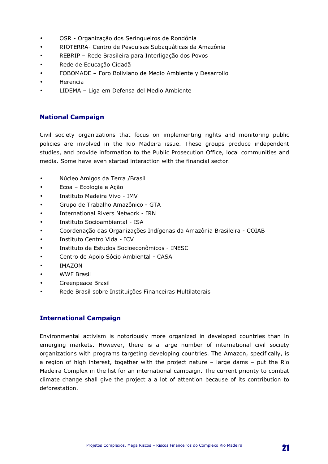- OSR Organização dos Seringueiros de Rondônia
- RIOTERRA- Centro de Pesquisas Subaquáticas da Amazônia
- REBRIP Rede Brasileira para Interligação dos Povos
- Rede de Educação Cidadã
- FOBOMADE Foro Boliviano de Medio Ambiente y Desarrollo
- **Herencia**
- LIDEMA Liga em Defensa del Medio Ambiente

#### National Campaign

Civil society organizations that focus on implementing rights and monitoring public policies are involved in the Rio Madeira issue. These groups produce independent studies, and provide information to the Public Prosecution Office, local communities and media. Some have even started interaction with the financial sector.

- Núcleo Amigos da Terra /Brasil
- Ecoa Ecologia e Ação
- Instituto Madeira Vivo IMV
- Grupo de Trabalho Amazônico GTA
- International Rivers Network IRN
- Instituto Socioambiental ISA
- Coordenação das Organizações Indígenas da Amazônia Brasileira COIAB
- Instituto Centro Vida ICV
- Instituto de Estudos Socioeconômicos INESC
- Centro de Apoio Sócio Ambiental CASA
- IMAZON
- WWF Brasil
- Greenpeace Brasil
- Rede Brasil sobre Instituições Financeiras Multilaterais

#### International Campaign

Environmental activism is notoriously more organized in developed countries than in emerging markets. However, there is a large number of international civil society organizations with programs targeting developing countries. The Amazon, specifically, is a region of high interest, together with the project nature – large dams – put the Rio Madeira Complex in the list for an international campaign. The current priority to combat climate change shall give the project a a lot of attention because of its contribution to deforestation.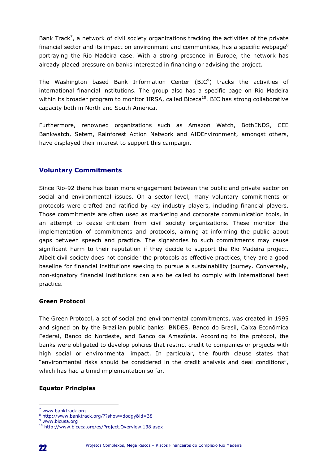Bank Track<sup>7</sup>, a network of civil society organizations tracking the activities of the private financial sector and its impact on environment and communities, has a specific webpage<sup>8</sup> portraying the Rio Madeira case. With a strong presence in Europe, the network has already placed pressure on banks interested in financing or advising the project.

The Washington based Bank Information Center (BIC $9$ ) tracks the activities of international financial institutions. The group also has a specific page on Rio Madeira within its broader program to monitor IIRSA, called Biceca<sup>10</sup>. BIC has strong collaborative capacity both in North and South America.

Furthermore, renowned organizations such as Amazon Watch, BothENDS, CEE Bankwatch, Setem, Rainforest Action Network and AIDEnvironment, amongst others, have displayed their interest to support this campaign.

#### Voluntary Commitments

Since Rio-92 there has been more engagement between the public and private sector on social and environmental issues. On a sector level, many voluntary commitments or protocols were crafted and ratified by key industry players, including financial players. Those commitments are often used as marketing and corporate communication tools, in an attempt to cease criticism from civil society organizations. These monitor the implementation of commitments and protocols, aiming at informing the public about gaps between speech and practice. The signatories to such commitments may cause significant harm to their reputation if they decide to support the Rio Madeira project. Albeit civil society does not consider the protocols as effective practices, they are a good baseline for financial institutions seeking to pursue a sustainability journey. Conversely, non-signatory financial institutions can also be called to comply with international best practice.

#### Green Protocol

The Green Protocol, a set of social and environmental commitments, was created in 1995 and signed on by the Brazilian public banks: BNDES, Banco do Brasil, Caixa Econômica Federal, Banco do Nordeste, and Banco da Amazônia. According to the protocol, the banks were obligated to develop policies that restrict credit to companies or projects with high social or environmental impact. In particular, the fourth clause states that "environmental risks should be considered in the credit analysis and deal conditions", which has had a timid implementation so far.

#### Equator Principles

 $\overline{a}$ <sup>7</sup> www.banktrack.org

<sup>8</sup> http://www.banktrack.org/??show=dodgy&id=38

<sup>&</sup>lt;sup>9</sup> www.bicusa.org

<sup>10</sup> http://www.biceca.org/es/Project.Overview.138.aspx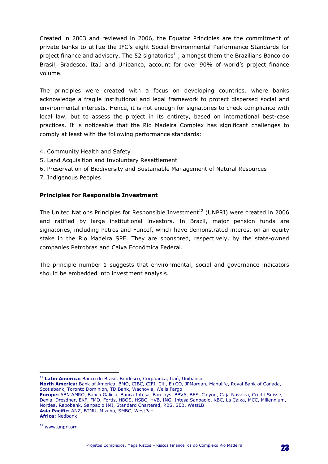Created in 2003 and reviewed in 2006, the Equator Principles are the commitment of private banks to utilize the IFC's eight Social-Environmental Performance Standards for project finance and advisory. The 52 signatories $^{11}$ , amongst them the Brazilians Banco do Brasil, Bradesco, Itaú and Unibanco, account for over 90% of world's project finance volume.

The principles were created with a focus on developing countries, where banks acknowledge a fragile institutional and legal framework to protect dispersed social and environmental interests. Hence, it is not enough for signatories to check compliance with local law, but to assess the project in its entirety, based on international best-case practices. It is noticeable that the Rio Madeira Complex has significant challenges to comply at least with the following performance standards:

- 4. Community Health and Safety
- 5. Land Acquisition and Involuntary Resettlement
- 6. Preservation of Biodiversity and Sustainable Management of Natural Resources
- 7. Indigenous Peoples

#### Principles for Responsible Investment

The United Nations Principles for Responsible Investment<sup>12</sup> (UNPRI) were created in 2006 and ratified by large institutional investors. In Brazil, major pension funds are signatories, including Petros and Funcef, which have demonstrated interest on an equity stake in the Rio Madeira SPE. They are sponsored, respectively, by the state-owned companies Petrobras and Caixa Econômica Federal.

The principle number 1 suggests that environmental, social and governance indicators should be embedded into investment analysis.

 $\overline{a}$ <sup>11</sup> Latin America: Banco do Brasil, Bradesco, Corpbanca, Itaú, Unibanco

North America: Bank of America, BMO, CIBC, CIFI, Citi, E+CO, JPMorgan, Manulife, Royal Bank of Canada, Scotiabank, Toronto Dominion, TD Bank, Wachovia, Wells Fargo

Europe: ABN AMRO, Banco Galícia, Banca Intesa, Barclays, BBVA, BES, Calyon, Caja Navarra, Credit Suisse, Dexia, Dresdner, EKF, FMO, Fortis, HBOS, HSBC, HVB, ING, Intesa Sanpaolo, KBC, La Caixa, MCC, Millennium, Nordea, Rabobank, Sanpaolo IMI, Standard Chartered, RBS, SEB, WestLB Asia Pacific: ANZ, BTMU, Mizuho, SMBC, WestPac Africa: Nedbank

<sup>12</sup> www.unpri.org